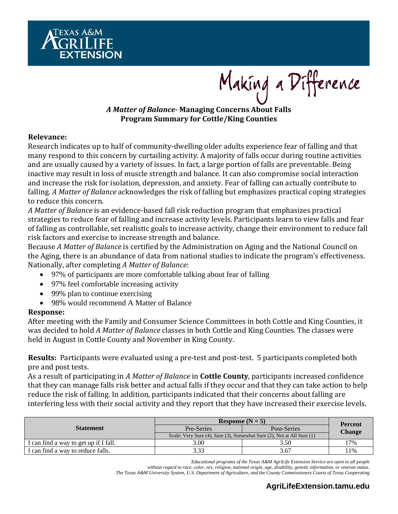

Making a Difference

# *A Matter of Balance‐* **Managing Concerns About Falls Program Summary for Cottle/King Counties**

### **Relevance:**

Research indicates up to half of community-dwelling older adults experience fear of falling and that many respond to this concern by curtailing activity. A majority of falls occur during routine activities and are usually caused by a variety of issues. In fact, a large portion of falls are preventable. Being inactive may result in loss of muscle strength and balance. It can also compromise social interaction and increase the risk for isolation, depression, and anxiety. Fear of falling can actually contribute to falling. A Matter of Balance acknowledges the risk of falling but emphasizes practical coping strategies to reduce this concern.

A *Matter of Balance* is an evidence-based fall risk reduction program that emphasizes practical strategies to reduce fear of falling and increase activity levels. Participants learn to view falls and fear of falling as controllable, set realistic goals to increase activity, change their environment to reduce fall risk factors and exercise to increase strength and balance.

Because *A Matter of Balance* is certified by the Administration on Aging and the National Council on the Aging, there is an abundance of data from national studies to indicate the program's effectiveness. Nationally, after completing *A Matter of Balance*: 

- 97% of participants are more comfortable talking about fear of falling
- 97% feel comfortable increasing activity
- 99% plan to continue exercising
- 98% would recommend A Matter of Balance

## **Response:**

After meeting with the Family and Consumer Science Committees in both Cottle and King Counties, it was decided to hold *A Matter of Balance* classes in both Cottle and King Counties. The classes were held in August in Cottle County and November in King County.

**Results:** Participants were evaluated using a pre-test and post-test. 5 participants completed both pre and post tests.

As a result of participating in A Matter of Balance in **Cottle County**, participants increased confidence that they can manage falls risk better and actual falls if they occur and that they can take action to help reduce the risk of falling. In addition, participants indicated that their concerns about falling are interfering less with their social activity and they report that they have increased their exercise levels.

| <b>Statement</b>                      | Response $(N = 5)$                                                     | <b>Percent</b> |        |  |
|---------------------------------------|------------------------------------------------------------------------|----------------|--------|--|
|                                       | Pre-Series                                                             | Post-Series    | Change |  |
|                                       | Scale: Very Sure (4), Sure (3), Somewhat Sure (2), Not at All Sure (1) |                |        |  |
| I can find a way to get up if I fall. | 3.00                                                                   | 3.50           | 17%    |  |
| I can find a way to reduce falls.     | 3.33                                                                   | 3.67           | $1\%$  |  |

*Educational programs of the Texas A&M AgriLife Extension Service are open to all people* 

*without regard to race, color, sex, religion, national origin, age, disability, genetic information, or veteran status. The Texas A&M University System, U.S. Department of Agriculture, and the County Commissioners Courts of Texas Cooperating*